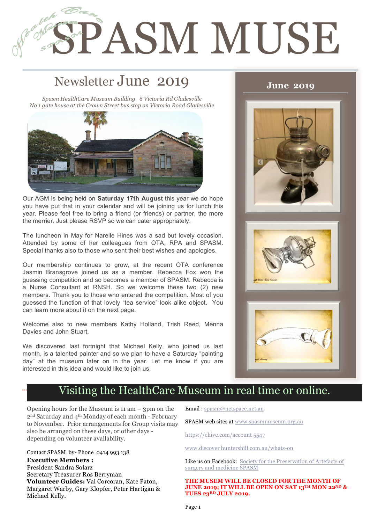# **SPASM MUSE**

# Newsletter June 2019

1

2

*Spasm HealthCare Museum Building 6 Victoria Rd Gladesville No 1 gate house at the Crown Street bus stop on Victoria Road Gladesville*



Our AGM is being held on **Saturday 17th August** this year we do hope you have put that in your calendar and will be joining us for lunch this year. Please feel free to bring a friend (or friends) or partner, the more the merrier. Just please RSVP so we can cater appropriately.

The luncheon in May for Narelle Hines was a sad but lovely occasion. Attended by some of her colleagues from OTA, RPA and SPASM. Special thanks also to those who sent their best wishes and apologies.

Our membership continues to grow, at the recent OTA conference Jasmin Bransgrove joined us as a member. Rebecca Fox won the guessing competition and so becomes a member of SPASM. Rebecca is a Nurse Consultant at RNSH. So we welcome these two (2) new members. Thank you to those who entered the competition. Most of you guessed the function of that lovely "tea service" look alike object. You can learn more about it on the next page.

Welcome also to new members Kathy Holland, Trish Reed, Menna Davies and John Stuart.

We discovered last fortnight that Michael Kelly, who joined us last month, is a talented painter and so we plan to have a Saturday "painting day" at the museum later on in the year. Let me know if you are interested in this idea and would like to join us.

### **June 2019**







# Visiting the HealthCare Museum in real time or online.

Opening hours for the Museum is 11 am – 3pm on the 2nd Saturday and 4th Monday of each month - February to November. Prior arrangements for Group visits may also be arranged on these days, or other days depending on volunteer availability.

Contact SPASM by- Phone 0414 993 138 **Executive Members :** President Sandra Solarz Secretary Treasurer Ros Berryman **Volunteer Guides:** Val Corcoran, Kate Paton, Margaret Warby, Gary Klopfer, Peter Hartigan & Michael Kelly.

Email : spasm@netspace.net.au

SPASM web sites at www.spasmmuseum.org.au

https://ehive.com/account 5547

www.discover huntershill.com.au/whats-on

Like us on Facebook: Society for the Preservation of Artefacts of surgery and medicine SPASM

**THE MUSEM WILL BE CLOSED FOR THE MONTH OF JUNE 2019; IT WILL BE OPEN ON SAT 13TH MON 22ND & TUES 23RD JULY 2019.**